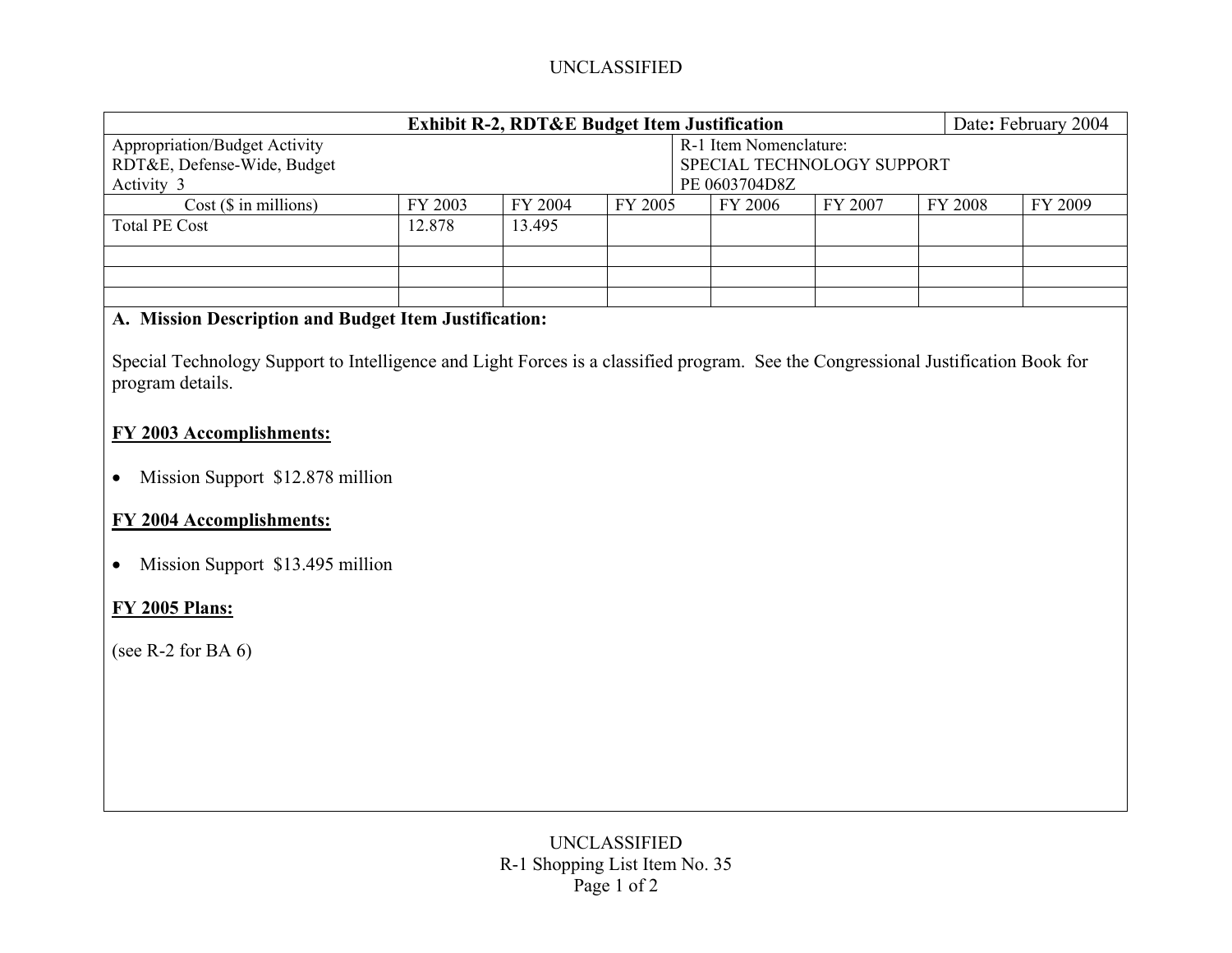## UNCLASSIFIED

| <b>Exhibit R-2, RDT&amp;E Budget Item Justification</b><br>Date: February 2004                                                                        |                            |         |         |  |         |         |  |         |         |
|-------------------------------------------------------------------------------------------------------------------------------------------------------|----------------------------|---------|---------|--|---------|---------|--|---------|---------|
| <b>Appropriation/Budget Activity</b>                                                                                                                  | R-1 Item Nomenclature:     |         |         |  |         |         |  |         |         |
| RDT&E, Defense-Wide, Budget                                                                                                                           | SPECIAL TECHNOLOGY SUPPORT |         |         |  |         |         |  |         |         |
| Activity 3                                                                                                                                            | PE 0603704D8Z              |         |         |  |         |         |  |         |         |
| $Cost$ ( $$$ in millions)                                                                                                                             | FY 2003                    | FY 2004 | FY 2005 |  | FY 2006 | FY 2007 |  | FY 2008 | FY 2009 |
| <b>Total PE Cost</b>                                                                                                                                  | 12.878                     | 13.495  |         |  |         |         |  |         |         |
|                                                                                                                                                       |                            |         |         |  |         |         |  |         |         |
|                                                                                                                                                       |                            |         |         |  |         |         |  |         |         |
| A. Mission Description and Budget Item Justification:                                                                                                 |                            |         |         |  |         |         |  |         |         |
| Special Technology Support to Intelligence and Light Forces is a classified program. See the Congressional Justification Book for<br>program details. |                            |         |         |  |         |         |  |         |         |
| FY 2003 Accomplishments:                                                                                                                              |                            |         |         |  |         |         |  |         |         |
| Mission Support \$12.878 million<br>$\bullet$                                                                                                         |                            |         |         |  |         |         |  |         |         |
| <b>FY 2004 Accomplishments:</b>                                                                                                                       |                            |         |         |  |         |         |  |         |         |
| Mission Support \$13.495 million                                                                                                                      |                            |         |         |  |         |         |  |         |         |
| <b>FY 2005 Plans:</b>                                                                                                                                 |                            |         |         |  |         |         |  |         |         |
| (see R-2 for BA $6$ )                                                                                                                                 |                            |         |         |  |         |         |  |         |         |
|                                                                                                                                                       |                            |         |         |  |         |         |  |         |         |
|                                                                                                                                                       |                            |         |         |  |         |         |  |         |         |
|                                                                                                                                                       |                            |         |         |  |         |         |  |         |         |